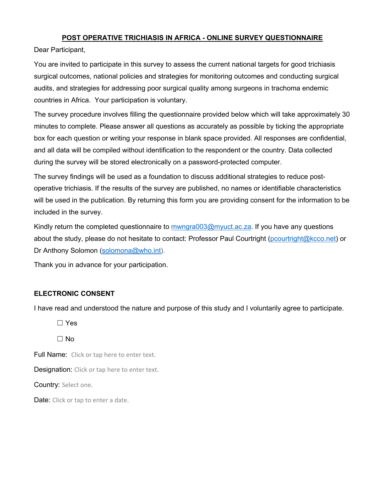## **POST OPERATIVE TRICHIASIS IN AFRICA - ONLINE SURVEY QUESTIONNAIRE**

Dear Participant,

You are invited to participate in this survey to assess the current national targets for good trichiasis surgical outcomes, national policies and strategies for monitoring outcomes and conducting surgical audits, and strategies for addressing poor surgical quality among surgeons in trachoma endemic countries in Africa. Your participation is voluntary.

The survey procedure involves filling the questionnaire provided below which will take approximately 30 minutes to complete. Please answer all questions as accurately as possible by ticking the appropriate box for each question or writing your response in blank space provided. All responses are confidential, and all data will be compiled without identification to the respondent or the country. Data collected during the survey will be stored electronically on a password-protected computer.

The survey findings will be used as a foundation to discuss additional strategies to reduce postoperative trichiasis. If the results of the survey are published, no names or identifiable characteristics will be used in the publication. By returning this form you are providing consent for the information to be included in the survey.

Kindly return the completed questionnaire to mwngra003@myuct.ac.za. If you have any questions about the study, please do not hesitate to contact: Professor Paul Courtright (pcourtright@kcco.net) or Dr Anthony Solomon (solomona@who.int).

Thank you in advance for your participation.

## **ELECTRONIC CONSENT**

I have read and understood the nature and purpose of this study and I voluntarily agree to participate.

☐ Yes

 $\Box$  No

Full Name: Click or tap here to enter text.

Designation: Click or tap here to enter text.

Country: Select one.

Date: Click or tap to enter a date.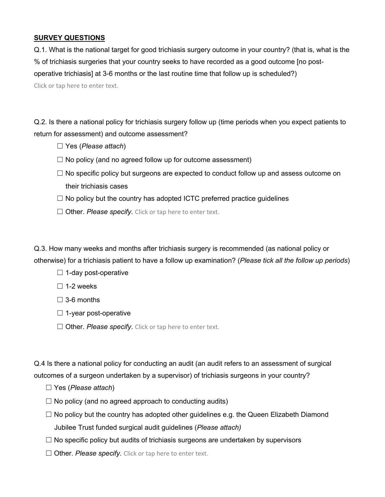## **SURVEY QUESTIONS**

Q.1. What is the national target for good trichiasis surgery outcome in your country? (that is, what is the % of trichiasis surgeries that your country seeks to have recorded as a good outcome [no postoperative trichiasis] at 3-6 months or the last routine time that follow up is scheduled?) Click or tap here to enter text.

Q.2. Is there a national policy for trichiasis surgery follow up (time periods when you expect patients to return for assessment) and outcome assessment?

- ☐ Yes (*Please attach*)
- $\Box$  No policy (and no agreed follow up for outcome assessment)
- $\Box$  No specific policy but surgeons are expected to conduct follow up and assess outcome on their trichiasis cases
- $\Box$  No policy but the country has adopted ICTC preferred practice guidelines
- □ Other. *Please specify*. Click or tap here to enter text.

Q.3. How many weeks and months after trichiasis surgery is recommended (as national policy or otherwise) for a trichiasis patient to have a follow up examination? (*Please tick all the follow up periods*)

- $\Box$  1-day post-operative
- $\square$  1-2 weeks
- $\Box$  3-6 months
- $\Box$  1-year post-operative
- □ Other. *Please specify*. Click or tap here to enter text.

Q.4 Is there a national policy for conducting an audit (an audit refers to an assessment of surgical outcomes of a surgeon undertaken by a supervisor) of trichiasis surgeons in your country?

- ☐ Yes (*Please attach*)
- $\Box$  No policy (and no agreed approach to conducting audits)
- $\Box$  No policy but the country has adopted other guidelines e.g. the Queen Elizabeth Diamond Jubilee Trust funded surgical audit guidelines (*Please attach)*
- $\Box$  No specific policy but audits of trichiasis surgeons are undertaken by supervisors
- □ Other. *Please specify*. Click or tap here to enter text.